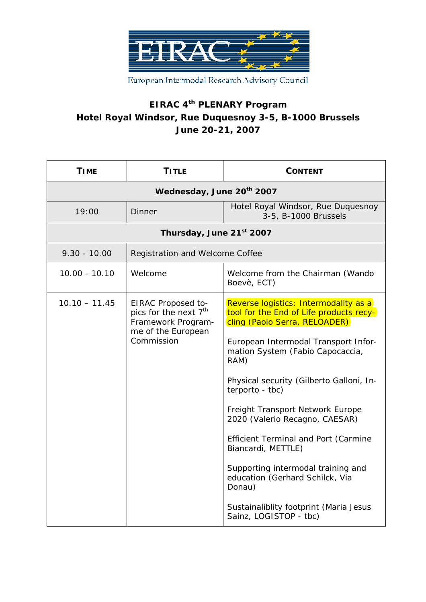

European Intermodal Research Advisory Council

## **EIRAC 4th PLENARY Program Hotel Royal Windsor, Rue Duquesnoy 3-5, B-1000 Brussels June 20-21, 2007**

| <b>TIME</b>                           | <b>TITLE</b>                                                                                                      | <b>CONTENT</b>                                                                                                                                                                                                                                                                                                                                                                                                                                                                                                                                                         |  |
|---------------------------------------|-------------------------------------------------------------------------------------------------------------------|------------------------------------------------------------------------------------------------------------------------------------------------------------------------------------------------------------------------------------------------------------------------------------------------------------------------------------------------------------------------------------------------------------------------------------------------------------------------------------------------------------------------------------------------------------------------|--|
| Wednesday, June 20 <sup>th</sup> 2007 |                                                                                                                   |                                                                                                                                                                                                                                                                                                                                                                                                                                                                                                                                                                        |  |
| 19:00                                 | Dinner                                                                                                            | Hotel Royal Windsor, Rue Duquesnoy<br>3-5, B-1000 Brussels                                                                                                                                                                                                                                                                                                                                                                                                                                                                                                             |  |
| Thursday, June 21st 2007              |                                                                                                                   |                                                                                                                                                                                                                                                                                                                                                                                                                                                                                                                                                                        |  |
| $9.30 - 10.00$                        | Registration and Welcome Coffee                                                                                   |                                                                                                                                                                                                                                                                                                                                                                                                                                                                                                                                                                        |  |
| $10.00 - 10.10$                       | Welcome                                                                                                           | Welcome from the Chairman (Wando<br>Boevè, ECT)                                                                                                                                                                                                                                                                                                                                                                                                                                                                                                                        |  |
| $10.10 - 11.45$                       | EIRAC Proposed to-<br>pics for the next 7 <sup>th</sup><br>Framework Program-<br>me of the European<br>Commission | Reverse logistics: Intermodality as a<br>tool for the End of Life products recy-<br>cling (Paolo Serra, RELOADER)<br>European Intermodal Transport Infor-<br>mation System (Fabio Capocaccia,<br>RAM)<br>Physical security (Gilberto Galloni, In-<br>terporto - tbc)<br>Freight Transport Network Europe<br>2020 (Valerio Recagno, CAESAR)<br><b>Efficient Terminal and Port (Carmine</b><br>Biancardi, METTLE)<br>Supporting intermodal training and<br>education (Gerhard Schilck, Via<br>Donau)<br>Sustainaliblity footprint (Maria Jesus<br>Sainz, LOGISTOP - tbc) |  |